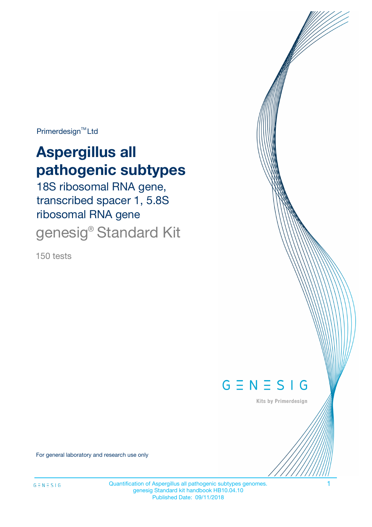Primerdesign<sup>™</sup>Ltd

# **Aspergillus all pathogenic subtypes**

18S ribosomal RNA gene, transcribed spacer 1, 5.8S ribosomal RNA gene genesig® Standard Kit

150 tests



Kits by Primerdesign

For general laboratory and research use only

Quantification of Aspergillus all pathogenic subtypes genomes. 1 genesig Standard kit handbook HB10.04.10 Published Date: 09/11/2018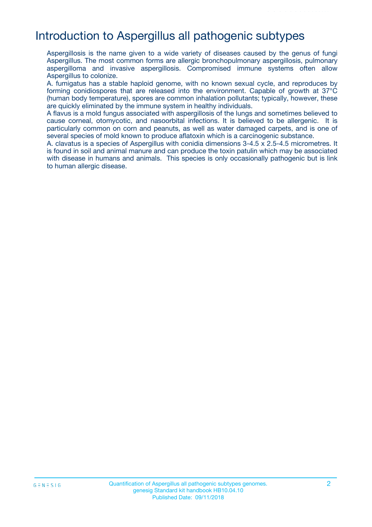# Introduction to Aspergillus all pathogenic subtypes

Aspergillosis is the name given to a wide variety of diseases caused by the genus of fungi Aspergillus. The most common forms are allergic bronchopulmonary aspergillosis, pulmonary aspergilloma and invasive aspergillosis. Compromised immune systems often allow Aspergillus to colonize.

A. fumigatus has a stable haploid genome, with no known sexual cycle, and reproduces by forming conidiospores that are released into the environment. Capable of growth at 37°C (human body temperature), spores are common inhalation pollutants; typically, however, these are quickly eliminated by the immune system in healthy individuals.

A flavus is a mold fungus associated with aspergillosis of the lungs and sometimes believed to cause corneal, otomycotic, and nasoorbital infections. It is believed to be allergenic. It is particularly common on corn and peanuts, as well as water damaged carpets, and is one of several species of mold known to produce aflatoxin which is a carcinogenic substance.

A. clavatus is a species of Aspergillus with conidia dimensions 3-4.5 x 2.5-4.5 micrometres. It is found in soil and animal manure and can produce the toxin patulin which may be associated with disease in humans and animals. This species is only occasionally pathogenic but is link to human allergic disease.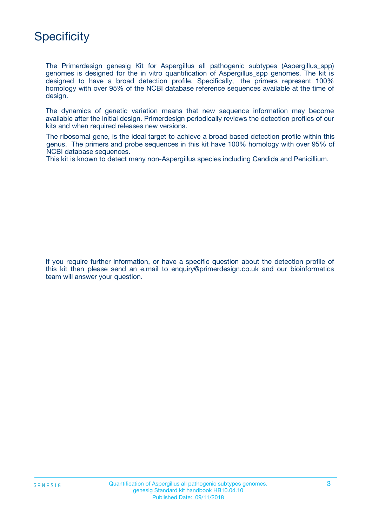

The Primerdesign genesig Kit for Aspergillus all pathogenic subtypes (Aspergillus\_spp) genomes is designed for the in vitro quantification of Aspergillus\_spp genomes. The kit is designed to have a broad detection profile. Specifically, the primers represent 100% homology with over 95% of the NCBI database reference sequences available at the time of design.

The dynamics of genetic variation means that new sequence information may become available after the initial design. Primerdesign periodically reviews the detection profiles of our kits and when required releases new versions.

The ribosomal gene, is the ideal target to achieve a broad based detection profile within this genus. The primers and probe sequences in this kit have 100% homology with over 95% of NCBI database sequences.

This kit is known to detect many non-Aspergillus species including Candida and Penicillium.

If you require further information, or have a specific question about the detection profile of this kit then please send an e.mail to enquiry@primerdesign.co.uk and our bioinformatics team will answer your question.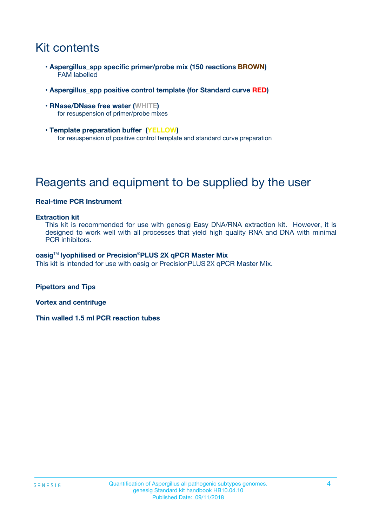# Kit contents

- **Aspergillus\_spp specific primer/probe mix (150 reactions BROWN)** FAM labelled
- **Aspergillus\_spp positive control template (for Standard curve RED)**
- **RNase/DNase free water (WHITE)** for resuspension of primer/probe mixes
- **Template preparation buffer (YELLOW)** for resuspension of positive control template and standard curve preparation

# Reagents and equipment to be supplied by the user

#### **Real-time PCR Instrument**

#### **Extraction kit**

This kit is recommended for use with genesig Easy DNA/RNA extraction kit. However, it is designed to work well with all processes that yield high quality RNA and DNA with minimal PCR inhibitors.

#### **oasig**TM **lyophilised or Precision**®**PLUS 2X qPCR Master Mix**

This kit is intended for use with oasig or PrecisionPLUS2X qPCR Master Mix.

**Pipettors and Tips**

**Vortex and centrifuge**

**Thin walled 1.5 ml PCR reaction tubes**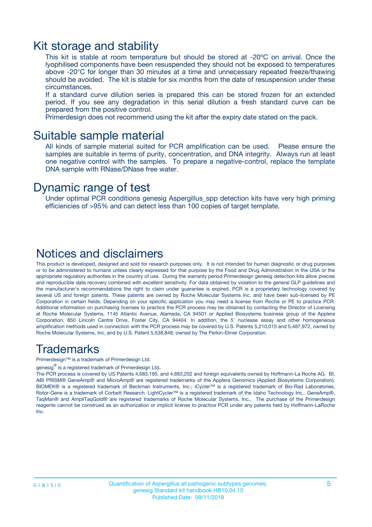### Kit storage and stability

This kit is stable at room temperature but should be stored at -20ºC on arrival. Once the lyophilised components have been resuspended they should not be exposed to temperatures above -20°C for longer than 30 minutes at a time and unnecessary repeated freeze/thawing should be avoided. The kit is stable for six months from the date of resuspension under these circumstances.

If a standard curve dilution series is prepared this can be stored frozen for an extended period. If you see any degradation in this serial dilution a fresh standard curve can be prepared from the positive control.

Primerdesign does not recommend using the kit after the expiry date stated on the pack.

### Suitable sample material

All kinds of sample material suited for PCR amplification can be used. Please ensure the samples are suitable in terms of purity, concentration, and DNA integrity. Always run at least one negative control with the samples. To prepare a negative-control, replace the template DNA sample with RNase/DNase free water.

### Dynamic range of test

Under optimal PCR conditions genesig Aspergillus\_spp detection kits have very high priming efficiencies of >95% and can detect less than 100 copies of target template.

### Notices and disclaimers

This product is developed, designed and sold for research purposes only. It is not intended for human diagnostic or drug purposes or to be administered to humans unless clearly expressed for that purpose by the Food and Drug Administration in the USA or the appropriate regulatory authorities in the country of use. During the warranty period Primerdesign genesig detection kits allow precise and reproducible data recovery combined with excellent sensitivity. For data obtained by violation to the general GLP guidelines and the manufacturer's recommendations the right to claim under guarantee is expired. PCR is a proprietary technology covered by several US and foreign patents. These patents are owned by Roche Molecular Systems Inc. and have been sub-licensed by PE Corporation in certain fields. Depending on your specific application you may need a license from Roche or PE to practice PCR. Additional information on purchasing licenses to practice the PCR process may be obtained by contacting the Director of Licensing at Roche Molecular Systems, 1145 Atlantic Avenue, Alameda, CA 94501 or Applied Biosystems business group of the Applera Corporation, 850 Lincoln Centre Drive, Foster City, CA 94404. In addition, the 5' nuclease assay and other homogeneous amplification methods used in connection with the PCR process may be covered by U.S. Patents 5,210,015 and 5,487,972, owned by Roche Molecular Systems, Inc, and by U.S. Patent 5,538,848, owned by The Perkin-Elmer Corporation.

### Trademarks

Primerdesign™ is a trademark of Primerdesign Ltd.

genesig $^\circledR$  is a registered trademark of Primerdesign Ltd.

The PCR process is covered by US Patents 4,683,195, and 4,683,202 and foreign equivalents owned by Hoffmann-La Roche AG. BI, ABI PRISM® GeneAmp® and MicroAmp® are registered trademarks of the Applera Genomics (Applied Biosystems Corporation). BIOMEK® is a registered trademark of Beckman Instruments, Inc.; iCycler™ is a registered trademark of Bio-Rad Laboratories, Rotor-Gene is a trademark of Corbett Research. LightCycler™ is a registered trademark of the Idaho Technology Inc. GeneAmp®, TaqMan® and AmpliTaqGold® are registered trademarks of Roche Molecular Systems, Inc., The purchase of the Primerdesign reagents cannot be construed as an authorization or implicit license to practice PCR under any patents held by Hoffmann-LaRoche Inc.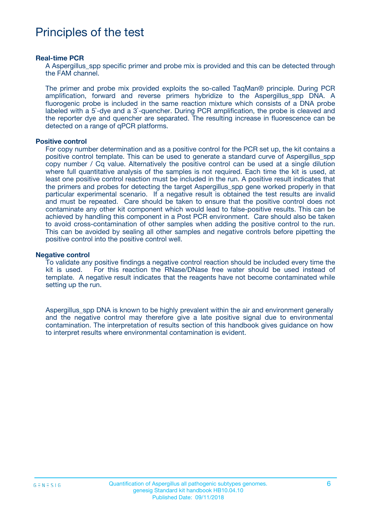# Principles of the test

#### **Real-time PCR**

A Aspergillus spp specific primer and probe mix is provided and this can be detected through the FAM channel.

The primer and probe mix provided exploits the so-called TaqMan® principle. During PCR amplification, forward and reverse primers hybridize to the Aspergillus spp DNA. A fluorogenic probe is included in the same reaction mixture which consists of a DNA probe labeled with a 5`-dye and a 3`-quencher. During PCR amplification, the probe is cleaved and the reporter dye and quencher are separated. The resulting increase in fluorescence can be detected on a range of qPCR platforms.

#### **Positive control**

For copy number determination and as a positive control for the PCR set up, the kit contains a positive control template. This can be used to generate a standard curve of Aspergillus\_spp copy number / Cq value. Alternatively the positive control can be used at a single dilution where full quantitative analysis of the samples is not required. Each time the kit is used, at least one positive control reaction must be included in the run. A positive result indicates that the primers and probes for detecting the target Aspergillus\_spp gene worked properly in that particular experimental scenario. If a negative result is obtained the test results are invalid and must be repeated. Care should be taken to ensure that the positive control does not contaminate any other kit component which would lead to false-positive results. This can be achieved by handling this component in a Post PCR environment. Care should also be taken to avoid cross-contamination of other samples when adding the positive control to the run. This can be avoided by sealing all other samples and negative controls before pipetting the positive control into the positive control well.

#### **Negative control**

To validate any positive findings a negative control reaction should be included every time the kit is used. For this reaction the RNase/DNase free water should be used instead of template. A negative result indicates that the reagents have not become contaminated while setting up the run.

Aspergillus\_spp DNA is known to be highly prevalent within the air and environment generally and the negative control may therefore give a late positive signal due to environmental contamination. The interpretation of results section of this handbook gives guidance on how to interpret results where environmental contamination is evident.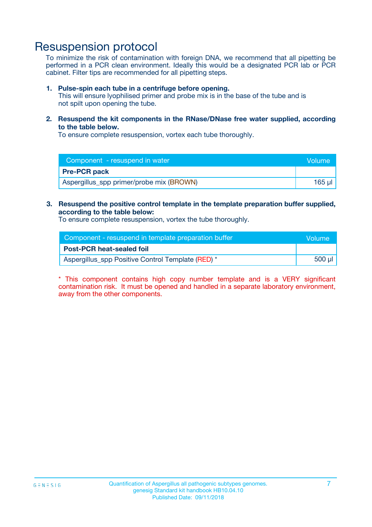## Resuspension protocol

To minimize the risk of contamination with foreign DNA, we recommend that all pipetting be performed in a PCR clean environment. Ideally this would be a designated PCR lab or PCR cabinet. Filter tips are recommended for all pipetting steps.

#### **1. Pulse-spin each tube in a centrifuge before opening.**

This will ensure lyophilised primer and probe mix is in the base of the tube and is not spilt upon opening the tube.

**2. Resuspend the kit components in the RNase/DNase free water supplied, according to the table below.**

To ensure complete resuspension, vortex each tube thoroughly.

| Component - resuspend in water           | <b>Volume</b> |
|------------------------------------------|---------------|
| <b>Pre-PCR pack</b>                      |               |
| Aspergillus_spp primer/probe mix (BROWN) | 165 ul        |

**3. Resuspend the positive control template in the template preparation buffer supplied, according to the table below:**

To ensure complete resuspension, vortex the tube thoroughly.

| Component - resuspend in template preparation buffer | l Volume' |
|------------------------------------------------------|-----------|
| <b>Post-PCR heat-sealed foil</b>                     |           |
| Aspergillus_spp Positive Control Template (RED) *    | 500 µl    |

\* This component contains high copy number template and is a VERY significant contamination risk. It must be opened and handled in a separate laboratory environment, away from the other components.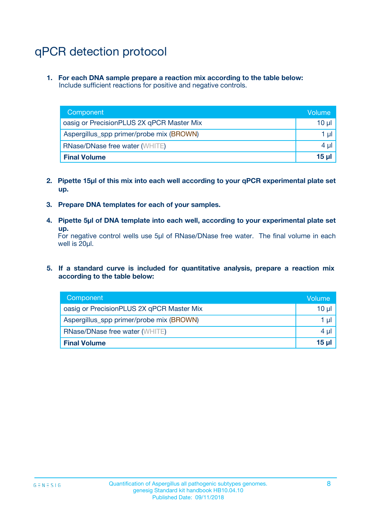# qPCR detection protocol

**1. For each DNA sample prepare a reaction mix according to the table below:** Include sufficient reactions for positive and negative controls.

| Component                                 | Volume   |
|-------------------------------------------|----------|
| oasig or PrecisionPLUS 2X qPCR Master Mix | 10 $\mu$ |
| Aspergillus_spp primer/probe mix (BROWN)  | 1 $\mu$  |
| <b>RNase/DNase free water (WHITE)</b>     | $4 \mu$  |
| <b>Final Volume</b>                       | $15 \mu$ |

- **2. Pipette 15µl of this mix into each well according to your qPCR experimental plate set up.**
- **3. Prepare DNA templates for each of your samples.**
- **4. Pipette 5µl of DNA template into each well, according to your experimental plate set up.**

For negative control wells use 5µl of RNase/DNase free water. The final volume in each well is 20µl.

**5. If a standard curve is included for quantitative analysis, prepare a reaction mix according to the table below:**

| Component                                 | Volume     |
|-------------------------------------------|------------|
| oasig or PrecisionPLUS 2X qPCR Master Mix | 10 µl      |
| Aspergillus_spp primer/probe mix (BROWN)  | 1 µI       |
| <b>RNase/DNase free water (WHITE)</b>     | $4 \mu$    |
| <b>Final Volume</b>                       | $15$ $\mu$ |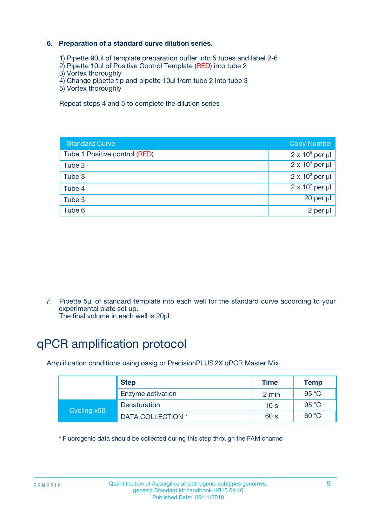### **6. Preparation of a standard curve dilution series.**

- 1) Pipette 90µl of template preparation buffer into 5 tubes and label 2-6
- 2) Pipette 10µl of Positive Control Template (RED) into tube 2
- 3) Vortex thoroughly
- 4) Change pipette tip and pipette 10µl from tube 2 into tube 3
- 5) Vortex thoroughly

Repeat steps 4 and 5 to complete the dilution series

| <b>Standard Curve</b>         | <b>Copy Number</b>     |
|-------------------------------|------------------------|
| Tube 1 Positive control (RED) | $2 \times 10^5$ per µl |
| Tube 2                        | $2 \times 10^4$ per µl |
| Tube 3                        | $2 \times 10^3$ per µl |
| Tube 4                        | $2 \times 10^2$ per µl |
| Tube 5                        | 20 per µl              |
| Tube 6                        | $2$ per $\mu$          |

7. Pipette 5µl of standard template into each well for the standard curve according to your experimental plate set up.

The final volume in each well is 20µl.

# qPCR amplification protocol

Amplification conditions using oasig or PrecisionPLUS2X qPCR Master Mix.

| <b>Step</b> |                   | <b>Time</b>     | Temp           |
|-------------|-------------------|-----------------|----------------|
|             | Enzyme activation | 2 min           | $95^{\circ}$ C |
| Cycling x50 | Denaturation      | 10 <sub>s</sub> | 95 $°C$        |
|             | DATA COLLECTION * | 60 s            | 60 °C          |

\* Fluorogenic data should be collected during this step through the FAM channel